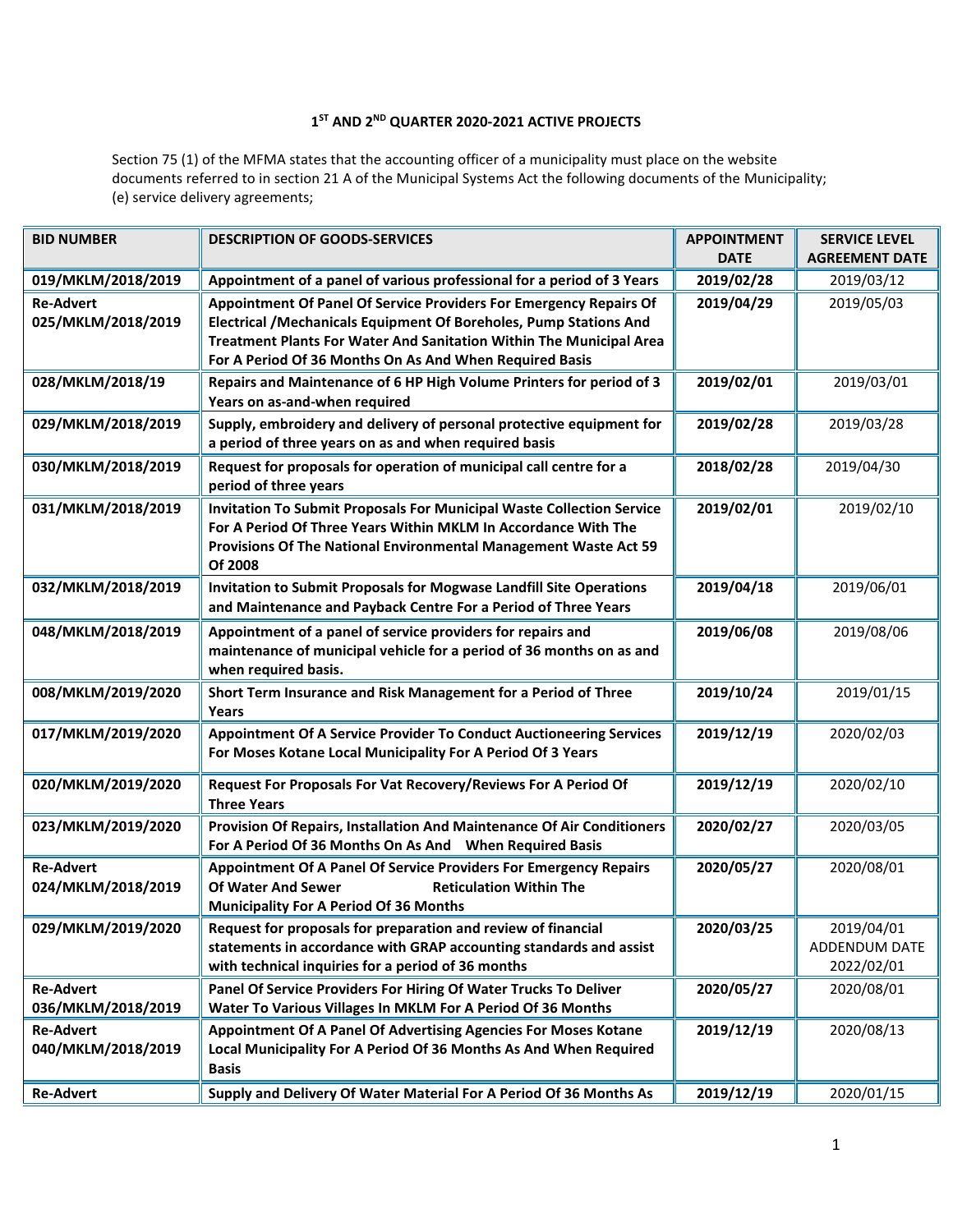## **1 ST AND 2ND QUARTER 2020-2021 ACTIVE PROJECTS**

Section 75 (1) of the MFMA states that the accounting officer of a municipality must place on the website documents referred to in section 21 A of the Municipal Systems Act the following documents of the Municipality; (e) service delivery agreements;

| <b>BID NUMBER</b>                      | <b>DESCRIPTION OF GOODS-SERVICES</b>                                                                                                                                                                                                                                       | <b>APPOINTMENT</b><br><b>DATE</b> | <b>SERVICE LEVEL</b><br><b>AGREEMENT DATE</b> |
|----------------------------------------|----------------------------------------------------------------------------------------------------------------------------------------------------------------------------------------------------------------------------------------------------------------------------|-----------------------------------|-----------------------------------------------|
| 019/MKLM/2018/2019                     | Appointment of a panel of various professional for a period of 3 Years                                                                                                                                                                                                     | 2019/02/28                        | 2019/03/12                                    |
| <b>Re-Advert</b><br>025/MKLM/2018/2019 | Appointment Of Panel Of Service Providers For Emergency Repairs Of<br>Electrical / Mechanicals Equipment Of Boreholes, Pump Stations And<br>Treatment Plants For Water And Sanitation Within The Municipal Area<br>For A Period Of 36 Months On As And When Required Basis | 2019/04/29                        | 2019/05/03                                    |
| 028/MKLM/2018/19                       | Repairs and Maintenance of 6 HP High Volume Printers for period of 3<br>Years on as-and-when required                                                                                                                                                                      | 2019/02/01                        | 2019/03/01                                    |
| 029/MKLM/2018/2019                     | Supply, embroidery and delivery of personal protective equipment for<br>a period of three years on as and when required basis                                                                                                                                              | 2019/02/28                        | 2019/03/28                                    |
| 030/MKLM/2018/2019                     | Request for proposals for operation of municipal call centre for a<br>period of three years                                                                                                                                                                                | 2018/02/28                        | 2019/04/30                                    |
| 031/MKLM/2018/2019                     | <b>Invitation To Submit Proposals For Municipal Waste Collection Service</b><br>For A Period Of Three Years Within MKLM In Accordance With The<br>Provisions Of The National Environmental Management Waste Act 59<br>Of 2008                                              | 2019/02/01                        | 2019/02/10                                    |
| 032/MKLM/2018/2019                     | Invitation to Submit Proposals for Mogwase Landfill Site Operations<br>and Maintenance and Payback Centre For a Period of Three Years                                                                                                                                      | 2019/04/18                        | 2019/06/01                                    |
| 048/MKLM/2018/2019                     | Appointment of a panel of service providers for repairs and<br>maintenance of municipal vehicle for a period of 36 months on as and<br>when required basis.                                                                                                                | 2019/06/08                        | 2019/08/06                                    |
| 008/MKLM/2019/2020                     | Short Term Insurance and Risk Management for a Period of Three<br>Years                                                                                                                                                                                                    | 2019/10/24                        | 2019/01/15                                    |
| 017/MKLM/2019/2020                     | Appointment Of A Service Provider To Conduct Auctioneering Services<br>For Moses Kotane Local Municipality For A Period Of 3 Years                                                                                                                                         | 2019/12/19                        | 2020/02/03                                    |
| 020/MKLM/2019/2020                     | Request For Proposals For Vat Recovery/Reviews For A Period Of<br><b>Three Years</b>                                                                                                                                                                                       | 2019/12/19                        | 2020/02/10                                    |
| 023/MKLM/2019/2020                     | Provision Of Repairs, Installation And Maintenance Of Air Conditioners<br>For A Period Of 36 Months On As And When Required Basis                                                                                                                                          | 2020/02/27                        | 2020/03/05                                    |
| <b>Re-Advert</b><br>024/MKLM/2018/2019 | Appointment Of A Panel Of Service Providers For Emergency Repairs<br><b>Of Water And Sewer</b><br><b>Reticulation Within The</b><br><b>Municipality For A Period Of 36 Months</b>                                                                                          | 2020/05/27                        | 2020/08/01                                    |
| 029/MKLM/2019/2020                     | Request for proposals for preparation and review of financial<br>statements in accordance with GRAP accounting standards and assist<br>with technical inquiries for a period of 36 months                                                                                  | 2020/03/25                        | 2019/04/01<br>ADDENDUM DATE<br>2022/02/01     |
| <b>Re-Advert</b><br>036/MKLM/2018/2019 | Panel Of Service Providers For Hiring Of Water Trucks To Deliver<br>Water To Various Villages In MKLM For A Period Of 36 Months                                                                                                                                            | 2020/05/27                        | 2020/08/01                                    |
| <b>Re-Advert</b><br>040/MKLM/2018/2019 | Appointment Of A Panel Of Advertising Agencies For Moses Kotane<br>Local Municipality For A Period Of 36 Months As And When Required<br><b>Basis</b>                                                                                                                       | 2019/12/19                        | 2020/08/13                                    |
| <b>Re-Advert</b>                       | Supply and Delivery Of Water Material For A Period Of 36 Months As                                                                                                                                                                                                         | 2019/12/19                        | 2020/01/15                                    |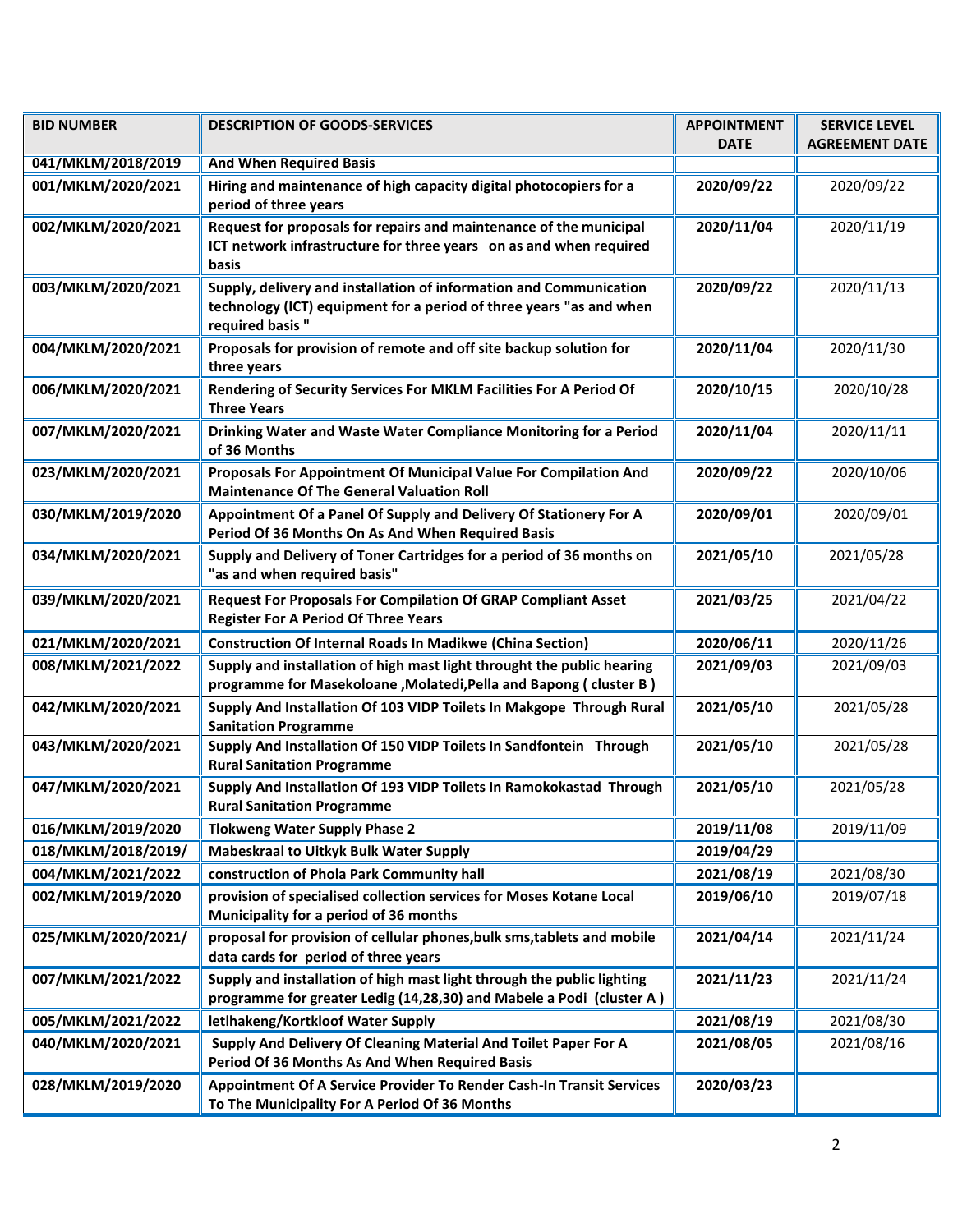| <b>BID NUMBER</b>   | <b>DESCRIPTION OF GOODS-SERVICES</b>                                                                                                                         | <b>APPOINTMENT</b><br><b>DATE</b> | <b>SERVICE LEVEL</b><br><b>AGREEMENT DATE</b> |
|---------------------|--------------------------------------------------------------------------------------------------------------------------------------------------------------|-----------------------------------|-----------------------------------------------|
| 041/MKLM/2018/2019  | <b>And When Required Basis</b>                                                                                                                               |                                   |                                               |
| 001/MKLM/2020/2021  | Hiring and maintenance of high capacity digital photocopiers for a<br>period of three years                                                                  | 2020/09/22                        | 2020/09/22                                    |
| 002/MKLM/2020/2021  | Request for proposals for repairs and maintenance of the municipal<br>ICT network infrastructure for three years on as and when required<br>basis            | 2020/11/04                        | 2020/11/19                                    |
| 003/MKLM/2020/2021  | Supply, delivery and installation of information and Communication<br>technology (ICT) equipment for a period of three years "as and when<br>required basis" | 2020/09/22                        | 2020/11/13                                    |
| 004/MKLM/2020/2021  | Proposals for provision of remote and off site backup solution for<br>three years                                                                            | 2020/11/04                        | 2020/11/30                                    |
| 006/MKLM/2020/2021  | Rendering of Security Services For MKLM Facilities For A Period Of<br><b>Three Years</b>                                                                     | 2020/10/15                        | 2020/10/28                                    |
| 007/MKLM/2020/2021  | Drinking Water and Waste Water Compliance Monitoring for a Period<br>of 36 Months                                                                            | 2020/11/04                        | 2020/11/11                                    |
| 023/MKLM/2020/2021  | Proposals For Appointment Of Municipal Value For Compilation And<br><b>Maintenance Of The General Valuation Roll</b>                                         | 2020/09/22                        | 2020/10/06                                    |
| 030/MKLM/2019/2020  | Appointment Of a Panel Of Supply and Delivery Of Stationery For A<br>Period Of 36 Months On As And When Required Basis                                       | 2020/09/01                        | 2020/09/01                                    |
| 034/MKLM/2020/2021  | Supply and Delivery of Toner Cartridges for a period of 36 months on<br>"as and when required basis"                                                         | 2021/05/10                        | 2021/05/28                                    |
| 039/MKLM/2020/2021  | <b>Request For Proposals For Compilation Of GRAP Compliant Asset</b><br><b>Register For A Period Of Three Years</b>                                          | 2021/03/25                        | 2021/04/22                                    |
| 021/MKLM/2020/2021  | <b>Construction Of Internal Roads In Madikwe (China Section)</b>                                                                                             | 2020/06/11                        | 2020/11/26                                    |
| 008/MKLM/2021/2022  | Supply and installation of high mast light throught the public hearing<br>programme for Masekoloane, Molatedi, Pella and Bapong (cluster B)                  | 2021/09/03                        | 2021/09/03                                    |
| 042/MKLM/2020/2021  | Supply And Installation Of 103 VIDP Toilets In Makgope Through Rural<br><b>Sanitation Programme</b>                                                          | 2021/05/10                        | 2021/05/28                                    |
| 043/MKLM/2020/2021  | Supply And Installation Of 150 VIDP Toilets In Sandfontein Through<br><b>Rural Sanitation Programme</b>                                                      | 2021/05/10                        | 2021/05/28                                    |
| 047/MKLM/2020/2021  | Supply And Installation Of 193 VIDP Toilets In Ramokokastad Through<br><b>Rural Sanitation Programme</b>                                                     | 2021/05/10                        | 2021/05/28                                    |
| 016/MKLM/2019/2020  | <b>Tlokweng Water Supply Phase 2</b>                                                                                                                         | 2019/11/08                        | 2019/11/09                                    |
| 018/MKLM/2018/2019/ | Mabeskraal to Uitkyk Bulk Water Supply                                                                                                                       | 2019/04/29                        |                                               |
| 004/MKLM/2021/2022  | construction of Phola Park Community hall                                                                                                                    | 2021/08/19                        | 2021/08/30                                    |
| 002/MKLM/2019/2020  | provision of specialised collection services for Moses Kotane Local<br>Municipality for a period of 36 months                                                | 2019/06/10                        | 2019/07/18                                    |
| 025/MKLM/2020/2021/ | proposal for provision of cellular phones, bulk sms, tablets and mobile<br>data cards for period of three years                                              | 2021/04/14                        | 2021/11/24                                    |
| 007/MKLM/2021/2022  | Supply and installation of high mast light through the public lighting<br>programme for greater Ledig (14,28,30) and Mabele a Podi (cluster A)               | 2021/11/23                        | 2021/11/24                                    |
| 005/MKLM/2021/2022  | letlhakeng/Kortkloof Water Supply                                                                                                                            | 2021/08/19                        | 2021/08/30                                    |
| 040/MKLM/2020/2021  | Supply And Delivery Of Cleaning Material And Toilet Paper For A<br>Period Of 36 Months As And When Required Basis                                            | 2021/08/05                        | 2021/08/16                                    |
| 028/MKLM/2019/2020  | Appointment Of A Service Provider To Render Cash-In Transit Services<br>To The Municipality For A Period Of 36 Months                                        | 2020/03/23                        |                                               |